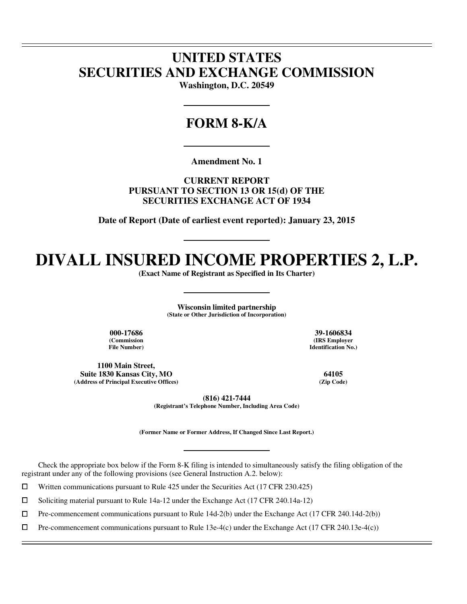## **UNITED STATES SECURITIES AND EXCHANGE COMMISSION**

**Washington, D.C. 20549** 

### **FORM 8-K/A**

**Amendment No. 1** 

**CURRENT REPORT PURSUANT TO SECTION 13 OR 15(d) OF THE SECURITIES EXCHANGE ACT OF 1934** 

**Date of Report (Date of earliest event reported): January 23, 2015** 

# **DIVALL INSURED INCOME PROPERTIES 2, L.P.**

**(Exact Name of Registrant as Specified in Its Charter)** 

**Wisconsin limited partnership (State or Other Jurisdiction of Incorporation)** 

**(Commission File Number)**

 $\overline{a}$  $\overline{a}$ 

 $\overline{a}$ 

**1100 Main Street, Suite 1830 Kansas City, MO 64105 (Address of Principal Executive Offices) (Zip Code)**

**000-17686 39-1606834 (IRS Employer Identification No.)**

**(816) 421-7444 (Registrant's Telephone Number, Including Area Code)** 

**(Former Name or Former Address, If Changed Since Last Report.)** 

Check the appropriate box below if the Form 8-K filing is intended to simultaneously satisfy the filing obligation of the registrant under any of the following provisions (see General Instruction A.2. below):

 $□$  Written communications pursuant to Rule 425 under the Securities Act (17 CFR 230.425)<br>
□ Soliciting material pursuant to Rule 14a-12 under the Exchange Act (17 CFR 240.14a-12)

<p>\n 5oliciting material pursuit to Rule 14a-12 under the Exchange Act (17 CFR 240.14a-12)\n <math>\Box</math>\n</p>\n<p>\n Pre-component communications pursuit to Rule 14d-2(b) under the Exchange Act (17 CFR 240.14a-12)\n</p>

 $\Box$  Pre-commencement communications pursuant to Rule 14d-2(b) under the Exchange Act (17 CFR 240.14d-2(b))<br>  $\Box$  Pre-commencement communications pursuant to Rule 13e-4(c) under the Exchange Act (17 CFR 240.13e-4(c))

Pre-commencement communications pursuant to Rule 13e-4(c) under the Exchange Act (17 CFR 240.13e-4(c))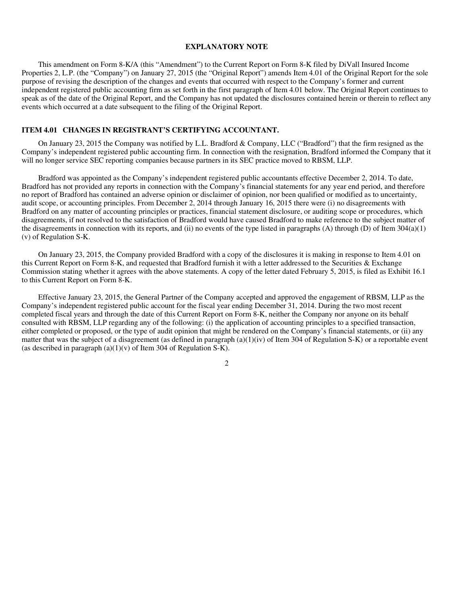#### **EXPLANATORY NOTE**

This amendment on Form 8-K/A (this "Amendment") to the Current Report on Form 8-K filed by DiVall Insured Income Properties 2, L.P. (the "Company") on January 27, 2015 (the "Original Report") amends Item 4.01 of the Original Report for the sole purpose of revising the description of the changes and events that occurred with respect to the Company's former and current independent registered public accounting firm as set forth in the first paragraph of Item 4.01 below. The Original Report continues to speak as of the date of the Original Report, and the Company has not updated the disclosures contained herein or therein to reflect any events which occurred at a date subsequent to the filing of the Original Report.

#### **ITEM 4.01 CHANGES IN REGISTRANT'S CERTIFYING ACCOUNTANT.**

On January 23, 2015 the Company was notified by L.L. Bradford & Company, LLC ("Bradford") that the firm resigned as the Company's independent registered public accounting firm. In connection with the resignation, Bradford informed the Company that it will no longer service SEC reporting companies because partners in its SEC practice moved to RBSM, LLP.

Bradford was appointed as the Company's independent registered public accountants effective December 2, 2014. To date, Bradford has not provided any reports in connection with the Company's financial statements for any year end period, and therefore no report of Bradford has contained an adverse opinion or disclaimer of opinion, nor been qualified or modified as to uncertainty, audit scope, or accounting principles. From December 2, 2014 through January 16, 2015 there were (i) no disagreements with Bradford on any matter of accounting principles or practices, financial statement disclosure, or auditing scope or procedures, which disagreements, if not resolved to the satisfaction of Bradford would have caused Bradford to make reference to the subject matter of the disagreements in connection with its reports, and (ii) no events of the type listed in paragraphs (A) through (D) of Item  $304(a)(1)$ (v) of Regulation S-K.

On January 23, 2015, the Company provided Bradford with a copy of the disclosures it is making in response to Item 4.01 on this Current Report on Form 8-K, and requested that Bradford furnish it with a letter addressed to the Securities & Exchange Commission stating whether it agrees with the above statements. A copy of the letter dated February 5, 2015, is filed as Exhibit 16.1 to this Current Report on Form 8-K.

Effective January 23, 2015, the General Partner of the Company accepted and approved the engagement of RBSM, LLP as the Company's independent registered public account for the fiscal year ending December 31, 2014. During the two most recent completed fiscal years and through the date of this Current Report on Form 8-K, neither the Company nor anyone on its behalf consulted with RBSM, LLP regarding any of the following: (i) the application of accounting principles to a specified transaction, either completed or proposed, or the type of audit opinion that might be rendered on the Company's financial statements, or (ii) any matter that was the subject of a disagreement (as defined in paragraph  $(a)(1)(iv)$  of Item 304 of Regulation S-K) or a reportable event (as described in paragraph  $(a)(1)(v)$  of Item 304 of Regulation S-K).

2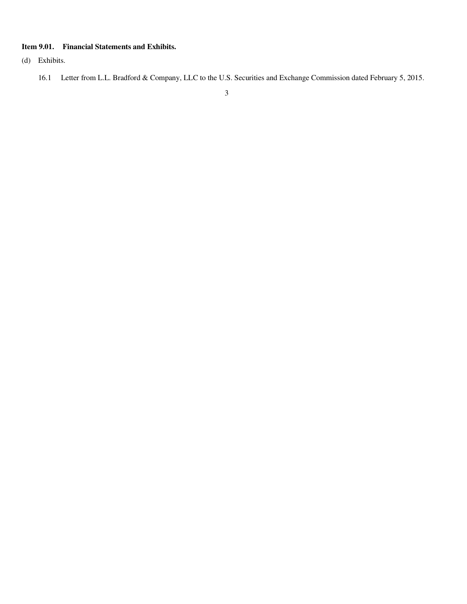#### **Item 9.01. Financial Statements and Exhibits.**

- (d) Exhibits.
	- 16.1 Letter from L.L. Bradford & Company, LLC to the U.S. Securities and Exchange Commission dated February 5, 2015.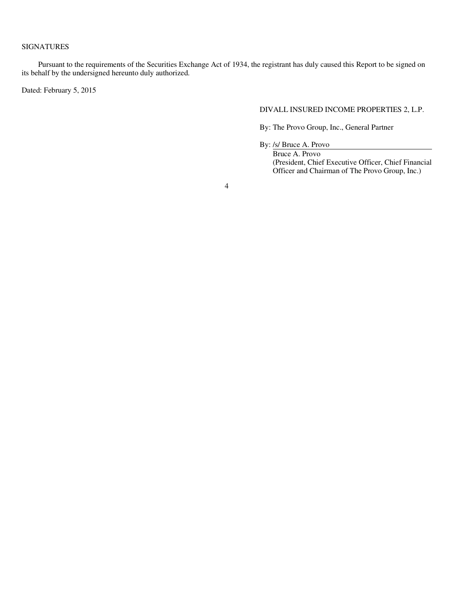#### SIGNATURES

Pursuant to the requirements of the Securities Exchange Act of 1934, the registrant has duly caused this Report to be signed on its behalf by the undersigned hereunto duly authorized.

Dated: February 5, 2015

#### DIVALL INSURED INCOME PROPERTIES 2, L.P.

By: The Provo Group, Inc., General Partner

By: /s/ Bruce A. Provo

Bruce A. Provo (President, Chief Executive Officer, Chief Financial Officer and Chairman of The Provo Group, Inc.)

4